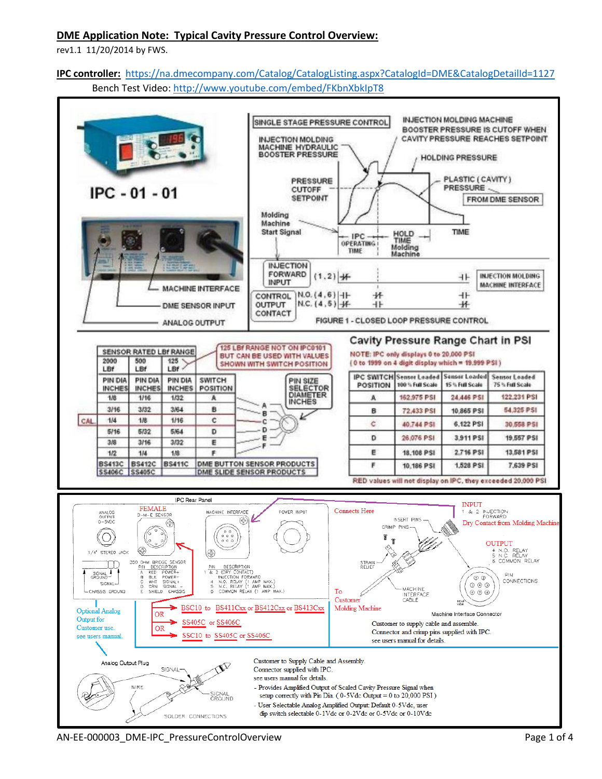## **DME Application Note: Typical Cavity Pressure Control Overview:**

rev1.1 11/20/2014 by FWS.

# **IPC controller:**<https://na.dmecompany.com/Catalog/CatalogListing.aspx?CatalogId=DME&CatalogDetailId=1127> Bench Test Video:<http://www.youtube.com/embed/FKbnXbkIpT8>



AN-EE-000003 DME-IPC PressureControlOverview Page 1 of 4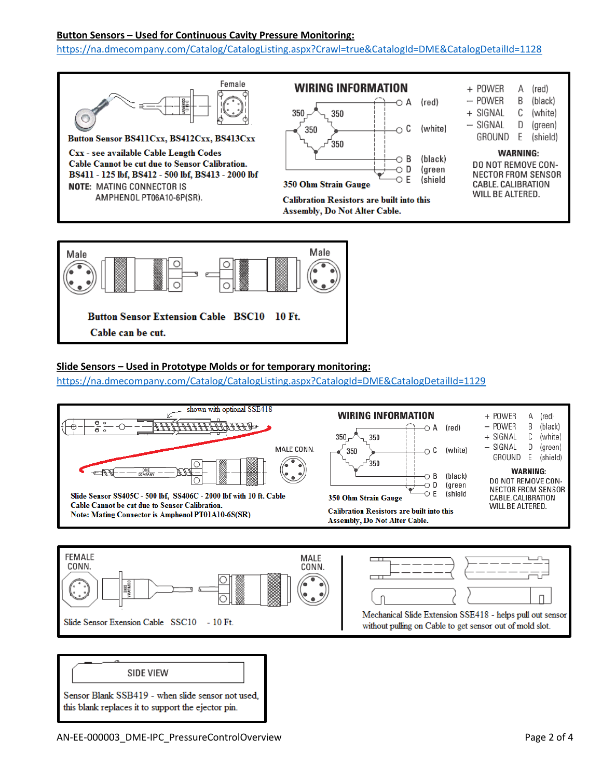## **Button Sensors – Used for Continuous Cavity Pressure Monitoring:**

<https://na.dmecompany.com/Catalog/CatalogListing.aspx?Crawl=true&CatalogId=DME&CatalogDetailId=1128>





#### **Slide Sensors – Used in Prototype Molds or for temporary monitoring:**

<https://na.dmecompany.com/Catalog/CatalogListing.aspx?CatalogId=DME&CatalogDetailId=1129>







Sensor Blank SSB419 - when slide sensor not used, this blank replaces it to support the ejector pin.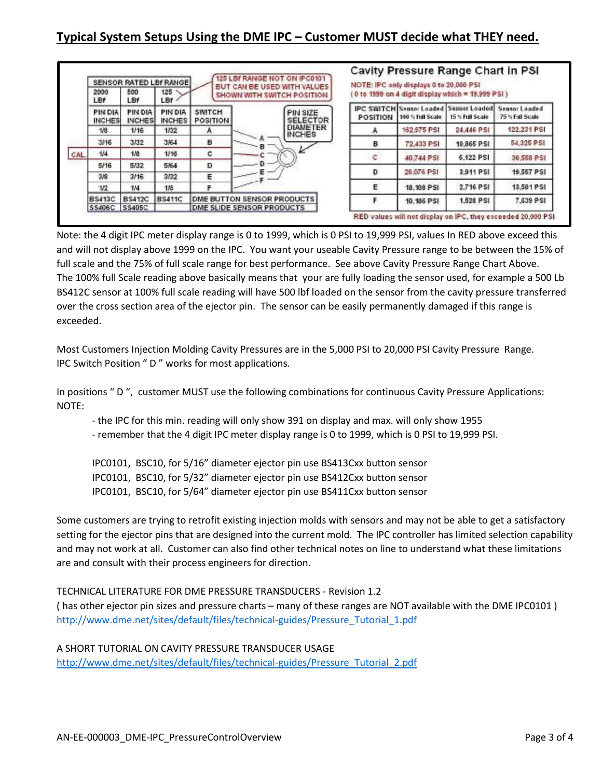# **Typical System Setups Using the DME IPC – Customer MUST decide what THEY need.**

|     | SENSOR RATED LBf RANGE<br>500<br>125<br>2000<br>LBf<br>LBf |                          | LBf                      | 125 LBf RANGE NOT ON IPC0101<br>BUT CAN BE USED WITH VALUES<br>SHOWN WITH SWITCH POSITION |      |                                  | <b>Cavity Pressure Range Chart in PSI</b><br>NOTE: IPC only displays 0 to 20,000 PSI<br>(0 to 1999 on 4 digit display which = 19.999 PSI) |                 |                                                                  |                                         |  |
|-----|------------------------------------------------------------|--------------------------|--------------------------|-------------------------------------------------------------------------------------------|------|----------------------------------|-------------------------------------------------------------------------------------------------------------------------------------------|-----------------|------------------------------------------------------------------|-----------------------------------------|--|
|     | PIN DIA<br><b>INCHES</b>                                   | PIN DIA<br><b>INCHES</b> | PIN DIA<br><b>INCHES</b> | <b>SWITCH</b><br><b>POSITION</b>                                                          |      | PIN SIZE<br><b>SELECTOR</b>      | <b>POSITION</b>                                                                                                                           | 100% Full Scale | <b>IPC SWITCH Sensor Loaded Sensor Loaded</b><br>15 % Full Scale | <b>Sensor Loaded</b><br>75 % Full Scale |  |
|     | 1/8                                                        | 1/16                     | 1/32                     | A                                                                                         |      | <b>DIAMETER</b><br><b>INCHES</b> |                                                                                                                                           | 162,975 PSI     | 24,446 PSI                                                       | 122,231 PSI                             |  |
| CAL | 3/16                                                       | 3/32                     | 3/64                     | в                                                                                         | $-8$ |                                  | в                                                                                                                                         | 72,433 PSI      | 10,865 PSI                                                       | 54,325 PSI                              |  |
|     | 1/4                                                        | 1/8                      | 1/16                     | c                                                                                         |      |                                  | c                                                                                                                                         | 40.744 PSI      | 6.122 PSI                                                        | 30,558 PSI                              |  |
|     | 5/16                                                       | 5/32                     | 5/64                     | D                                                                                         |      |                                  |                                                                                                                                           |                 |                                                                  |                                         |  |
|     | 3/8                                                        | 3/16                     | 3/32                     | Е                                                                                         |      |                                  | D                                                                                                                                         | 26,076 PSI      | 3.911 PSI                                                        | 19,557 PSI                              |  |
|     | 1/2                                                        | 1/4                      | 1/8                      |                                                                                           |      |                                  | E                                                                                                                                         | 18,108 PSI      | 2.716 PSI                                                        | 13,581 PSI                              |  |
|     | <b>BS413C</b>                                              | <b>BS412C</b>            | <b>BS411C</b>            | DME BUTTON SENSOR PRODUCTS                                                                |      |                                  |                                                                                                                                           | 10,186 PSI      | 1,528 PSI                                                        | 7,639 PSI                               |  |
|     | SS406C SS405C                                              |                          |                          | DME SLIDE SENSOR PRODUCTS                                                                 |      |                                  |                                                                                                                                           |                 |                                                                  |                                         |  |

Note: the 4 digit IPC meter display range is 0 to 1999, which is 0 PSI to 19,999 PSI, values In RED above exceed this and will not display above 1999 on the IPC. You want your useable Cavity Pressure range to be between the 15% of full scale and the 75% of full scale range for best performance. See above Cavity Pressure Range Chart Above. The 100% full Scale reading above basically means that your are fully loading the sensor used, for example a 500 Lb BS412C sensor at 100% full scale reading will have 500 lbf loaded on the sensor from the cavity pressure transferred over the cross section area of the ejector pin. The sensor can be easily permanently damaged if this range is exceeded.

Most Customers Injection Molding Cavity Pressures are in the 5,000 PSI to 20,000 PSI Cavity Pressure Range. IPC Switch Position " D " works for most applications.

In positions " D ", customer MUST use the following combinations for continuous Cavity Pressure Applications: NOTE:

- the IPC for this min. reading will only show 391 on display and max. will only show 1955

- remember that the 4 digit IPC meter display range is 0 to 1999, which is 0 PSI to 19,999 PSI.

IPC0101, BSC10, for 5/16" diameter ejector pin use BS413Cxx button sensor

IPC0101, BSC10, for 5/32" diameter ejector pin use BS412Cxx button sensor

IPC0101, BSC10, for 5/64" diameter ejector pin use BS411Cxx button sensor

Some customers are trying to retrofit existing injection molds with sensors and may not be able to get a satisfactory setting for the ejector pins that are designed into the current mold. The IPC controller has limited selection capability and may not work at all. Customer can also find other technical notes on line to understand what these limitations are and consult with their process engineers for direction.

TECHNICAL LITERATURE FOR DME PRESSURE TRANSDUCERS - Revision 1.2

( has other ejector pin sizes and pressure charts – many of these ranges are NOT available with the DME IPC0101 ) [http://www.dme.net/sites/default/files/technical-guides/Pressure\\_Tutorial\\_1.pdf](http://www.dme.net/sites/default/files/technical-guides/Pressure_Tutorial_1.pdf)

A SHORT TUTORIAL ON CAVITY PRESSURE TRANSDUCER USAGE [http://www.dme.net/sites/default/files/technical-guides/Pressure\\_Tutorial\\_2.pdf](http://www.dme.net/sites/default/files/technical-guides/Pressure_Tutorial_2.pdf)